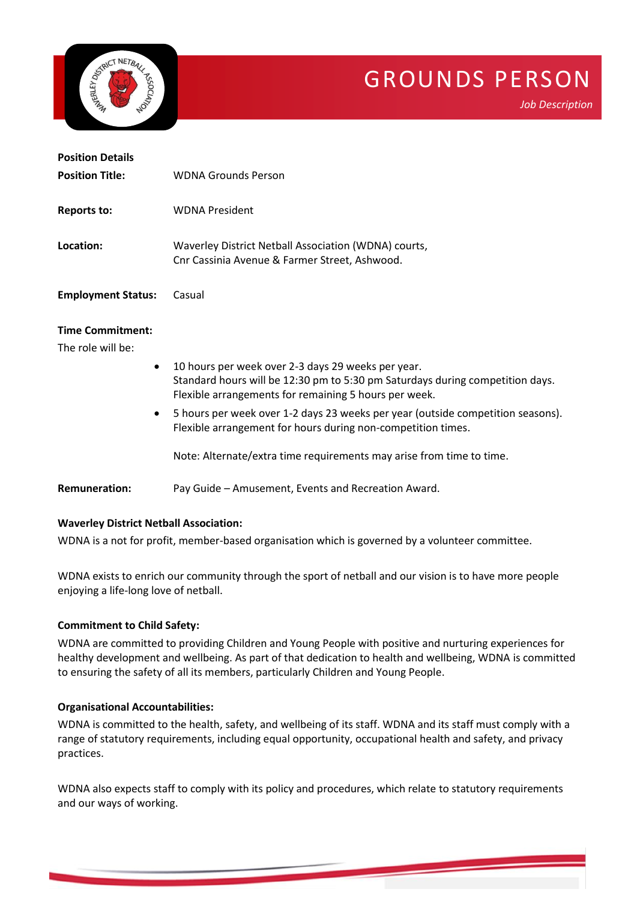

# GROUNDS PERSON

*Job Description*

| <b>Position Details</b> |                                                      |
|-------------------------|------------------------------------------------------|
| <b>Position Title:</b>  | <b>WDNA Grounds Person</b>                           |
| Reports to:             | <b>WDNA President</b>                                |
| Location:               | Waverley District Netball Association (WDNA) courts, |

**Employment Status:** Casual

#### **Time Commitment:**

The role will be:

- 10 hours per week over 2-3 days 29 weeks per year. Standard hours will be 12:30 pm to 5:30 pm Saturdays during competition days. Flexible arrangements for remaining 5 hours per week.
- 5 hours per week over 1-2 days 23 weeks per year (outside competition seasons). Flexible arrangement for hours during non-competition times.

Note: Alternate/extra time requirements may arise from time to time.

**Remuneration:** Pay Guide – Amusement, Events and Recreation Award.

## **Waverley District Netball Association:**

WDNA is a not for profit, member-based organisation which is governed by a volunteer committee.

Cnr Cassinia Avenue & Farmer Street, Ashwood.

WDNA exists to enrich our community through the sport of netball and our vision is to have more people enjoying a life-long love of netball.

## **Commitment to Child Safety:**

WDNA are committed to providing Children and Young People with positive and nurturing experiences for healthy development and wellbeing. As part of that dedication to health and wellbeing, WDNA is committed to ensuring the safety of all its members, particularly Children and Young People.

## **Organisational Accountabilities:**

WDNA is committed to the health, safety, and wellbeing of its staff. WDNA and its staff must comply with a range of statutory requirements, including equal opportunity, occupational health and safety, and privacy practices.

WDNA also expects staff to comply with its policy and procedures, which relate to statutory requirements and our ways of working.

ww.sportscommunity.com.au 1970. The community of the community of the community of the community of the community of the community of the community of the community of the community of the community of the community of the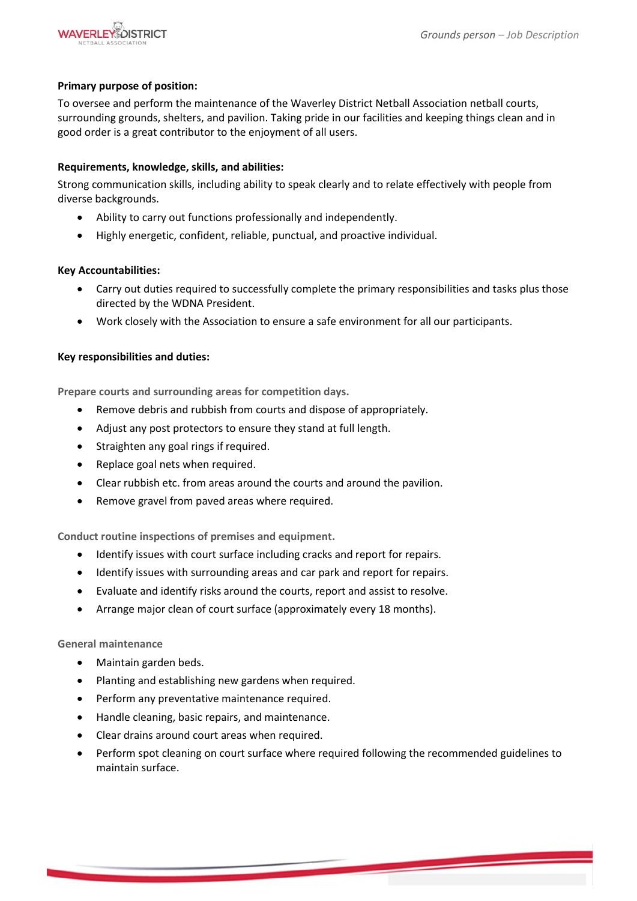

## **Primary purpose of position:**

To oversee and perform the maintenance of the Waverley District Netball Association netball courts, surrounding grounds, shelters, and pavilion. Taking pride in our facilities and keeping things clean and in good order is a great contributor to the enjoyment of all users.

## **Requirements, knowledge, skills, and abilities:**

Strong communication skills, including ability to speak clearly and to relate effectively with people from diverse backgrounds.

- Ability to carry out functions professionally and independently.
- Highly energetic, confident, reliable, punctual, and proactive individual.

#### **Key Accountabilities:**

- Carry out duties required to successfully complete the primary responsibilities and tasks plus those directed by the WDNA President.
- Work closely with the Association to ensure a safe environment for all our participants.

#### **Key responsibilities and duties:**

**Prepare courts and surrounding areas for competition days.**

- Remove debris and rubbish from courts and dispose of appropriately.
- Adjust any post protectors to ensure they stand at full length.
- Straighten any goal rings if required.
- Replace goal nets when required.
- Clear rubbish etc. from areas around the courts and around the pavilion.
- Remove gravel from paved areas where required.

**Conduct routine inspections of premises and equipment.**

- Identify issues with court surface including cracks and report for repairs.
- Identify issues with surrounding areas and car park and report for repairs.
- Evaluate and identify risks around the courts, report and assist to resolve.
- Arrange major clean of court surface (approximately every 18 months).

#### **General maintenance**

- Maintain garden beds.
- Planting and establishing new gardens when required.
- Perform any preventative maintenance required.
- Handle cleaning, basic repairs, and maintenance.
- Clear drains around court areas when required.
- Perform spot cleaning on court surface where required following the recommended guidelines to maintain surface.

ww.sportscommunity.com.au 2012. The community of the community of the community of the community of the community of the community of the community of the community of the community of the community of the community of the